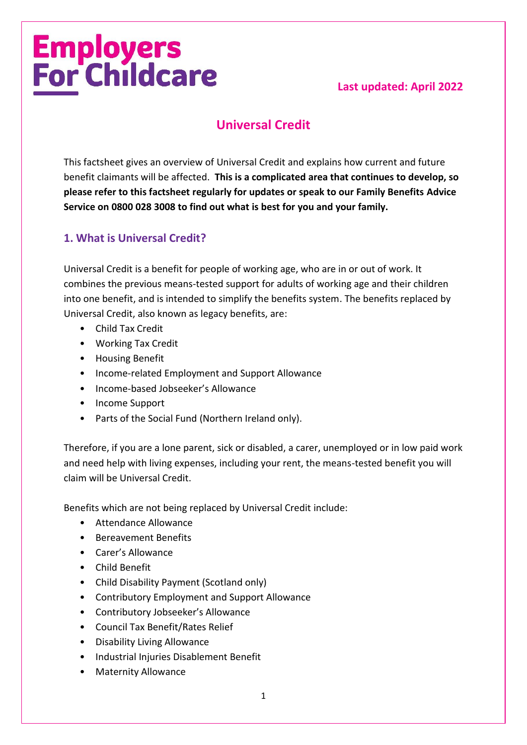# **Employers<br>For Childcare**

# **Last updated: April 2022**

# **Universal Credit**

This factsheet gives an overview of Universal Credit and explains how current and future benefit claimants will be affected. **This is a complicated area that continues to develop, so please refer to this factsheet regularly for updates or speak to our Family Benefits Advice Service on 0800 028 3008 to find out what is best for you and your family.**

# **1. What is Universal Credit?**

Universal Credit is a benefit for people of working age, who are in or out of work. It combines the previous means-tested support for adults of working age and their children into one benefit, and is intended to simplify the benefits system. The benefits replaced by Universal Credit, also known as legacy benefits, are:

- Child Tax Credit
- Working Tax Credit
- Housing Benefit
- Income-related Employment and Support Allowance
- Income-based Jobseeker's Allowance
- Income Support
- Parts of the Social Fund (Northern Ireland only).

Therefore, if you are a lone parent, sick or disabled, a carer, unemployed or in low paid work and need help with living expenses, including your rent, the means-tested benefit you will claim will be Universal Credit.

Benefits which are not being replaced by Universal Credit include:

- Attendance Allowance
- Bereavement Benefits
- Carer's Allowance
- Child Benefit
- Child Disability Payment (Scotland only)
- Contributory Employment and Support Allowance
- Contributory Jobseeker's Allowance
- Council Tax Benefit/Rates Relief
- Disability Living Allowance
- Industrial Injuries Disablement Benefit
- Maternity Allowance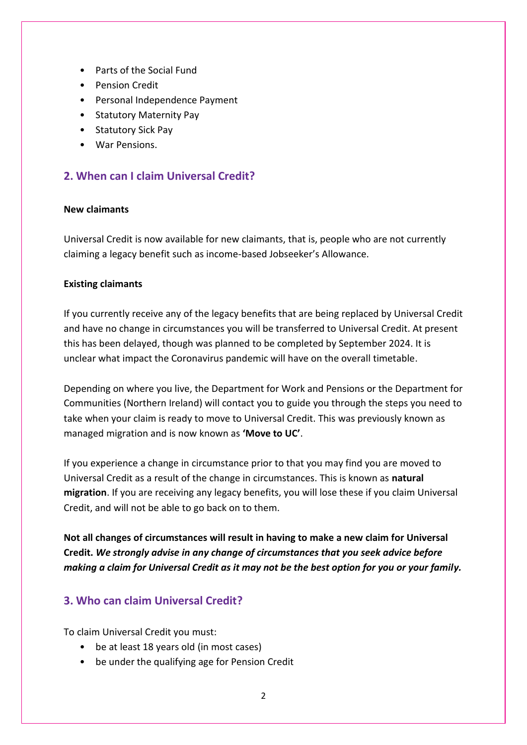- Parts of the Social Fund
- Pension Credit
- Personal Independence Payment
- Statutory Maternity Pay
- Statutory Sick Pay
- War Pensions.

# **2. When can I claim Universal Credit?**

## **New claimants**

Universal Credit is now available for new claimants, that is, people who are not currently claiming a legacy benefit such as income-based Jobseeker's Allowance.

#### **Existing claimants**

If you currently receive any of the legacy benefits that are being replaced by Universal Credit and have no change in circumstances you will be transferred to Universal Credit. At present this has been delayed, though was planned to be completed by September 2024. It is unclear what impact the Coronavirus pandemic will have on the overall timetable.

Depending on where you live, the Department for Work and Pensions or the Department for Communities (Northern Ireland) will contact you to guide you through the steps you need to take when your claim is ready to move to Universal Credit. This was previously known as managed migration and is now known as **'Move to UC'**.

If you experience a change in circumstance prior to that you may find you are moved to Universal Credit as a result of the change in circumstances. This is known as **natural migration**. If you are receiving any legacy benefits, you will lose these if you claim Universal Credit, and will not be able to go back on to them.

**Not all changes of circumstances will result in having to make a new claim for Universal Credit.** *We strongly advise in any change of circumstances that you seek advice before making a claim for Universal Credit as it may not be the best option for you or your family.*

# **3. Who can claim Universal Credit?**

To claim Universal Credit you must:

- be at least 18 years old (in most cases)
- be under the qualifying age for Pension Credit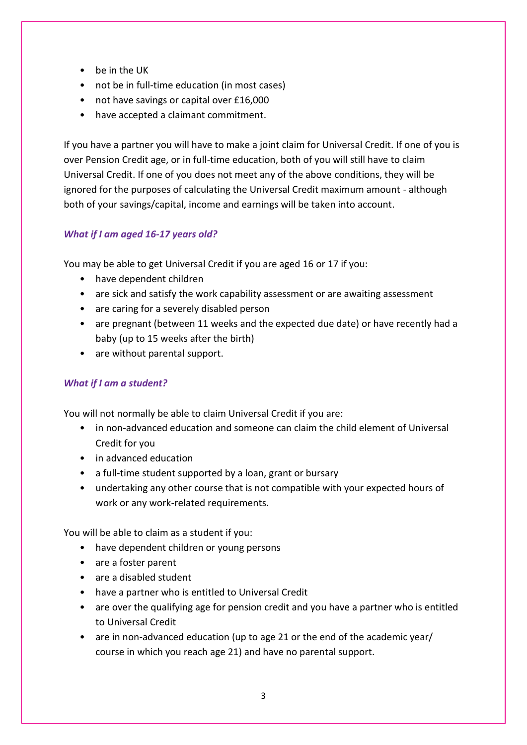- be in the UK
- not be in full-time education (in most cases)
- not have savings or capital over £16,000
- have accepted a claimant commitment.

If you have a partner you will have to make a joint claim for Universal Credit. If one of you is over Pension Credit age, or in full-time education, both of you will still have to claim Universal Credit. If one of you does not meet any of the above conditions, they will be ignored for the purposes of calculating the Universal Credit maximum amount - although both of your savings/capital, income and earnings will be taken into account.

## *What if I am aged 16-17 years old?*

You may be able to get Universal Credit if you are aged 16 or 17 if you:

- have dependent children
- are sick and satisfy the work capability assessment or are awaiting assessment
- are caring for a severely disabled person
- are pregnant (between 11 weeks and the expected due date) or have recently had a baby (up to 15 weeks after the birth)
- are without parental support.

# *What if I am a student?*

You will not normally be able to claim Universal Credit if you are:

- in non-advanced education and someone can claim the child element of Universal Credit for you
- in advanced education
- a full-time student supported by a loan, grant or bursary
- undertaking any other course that is not compatible with your expected hours of work or any work-related requirements.

You will be able to claim as a student if you:

- have dependent children or young persons
- are a foster parent
- are a disabled student
- have a partner who is entitled to Universal Credit
- are over the qualifying age for pension credit and you have a partner who is entitled to Universal Credit
- are in non-advanced education (up to age 21 or the end of the academic year/ course in which you reach age 21) and have no parental support.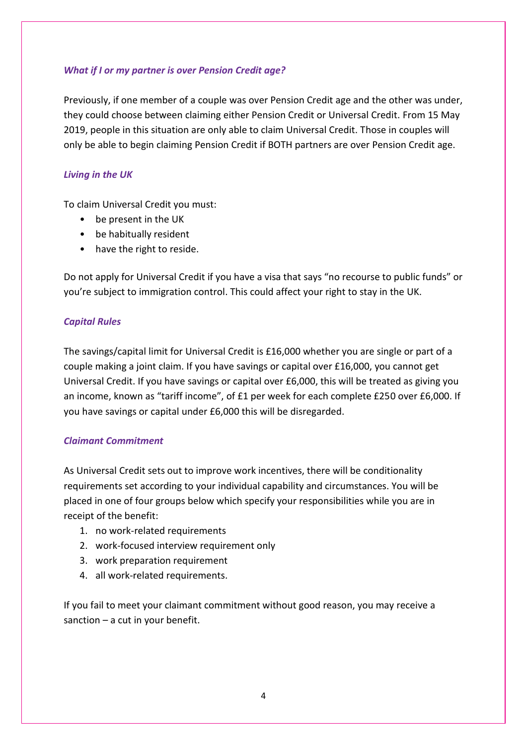## *What if I or my partner is over Pension Credit age?*

Previously, if one member of a couple was over Pension Credit age and the other was under, they could choose between claiming either Pension Credit or Universal Credit. From 15 May 2019, people in this situation are only able to claim Universal Credit. Those in couples will only be able to begin claiming Pension Credit if BOTH partners are over Pension Credit age.

## *Living in the UK*

To claim Universal Credit you must:

- be present in the UK
- be habitually resident
- have the right to reside.

Do not apply for Universal Credit if you have a visa that says "no recourse to public funds" or you're [subject to immigration control.](https://www.citizensadvice.org.uk/benefits/coming-from-abroad-and-claiming-benefits-the-habitual-residence-test/non-eea-nationals-and-the-habitual-residence-test/are-you-subject-to-immigration-control/) This could affect your right to stay in the UK.

## *Capital Rules*

The savings/capital limit for Universal Credit is £16,000 whether you are single or part of a couple making a joint claim. If you have savings or capital over £16,000, you cannot get Universal Credit. If you have savings or capital over £6,000, this will be treated as giving you an income, known as "tariff income", of £1 per week for each complete £250 over £6,000. If you have savings or capital under £6,000 this will be disregarded.

## *Claimant Commitment*

As Universal Credit sets out to improve work incentives, there will be conditionality requirements set according to your individual capability and circumstances. You will be placed in one of four groups below which specify your responsibilities while you are in receipt of the benefit:

- 1. no work-related requirements
- 2. work-focused interview requirement only
- 3. work preparation requirement
- 4. all work-related requirements.

If you fail to meet your claimant commitment without good reason, you may receive a sanction  $-$  a cut in your benefit.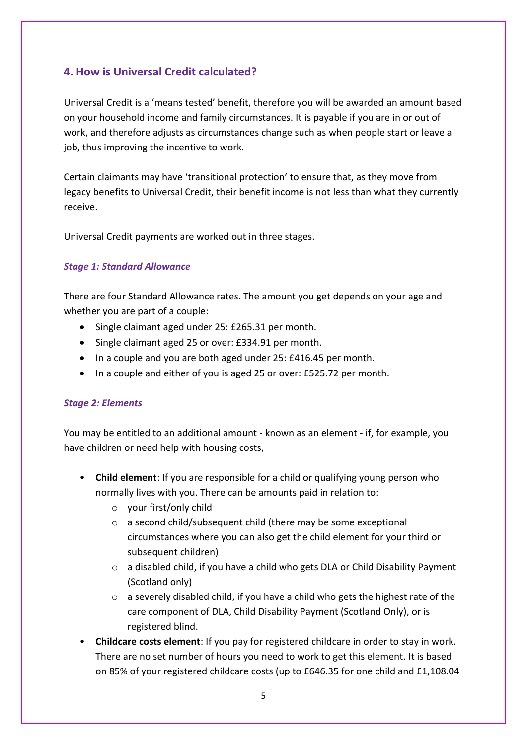# **4. How is Universal Credit calculated?**

Universal Credit is a 'means tested' benefit, therefore you will be awarded an amount based on your household income and family circumstances. It is payable if you are in or out of work, and therefore adjusts as circumstances change such as when people start or leave a job, thus improving the incentive to work.

Certain claimants may have 'transitional protection' to ensure that, as they move from legacy benefits to Universal Credit, their benefit income is not less than what they currently receive.

Universal Credit payments are worked out in three stages.

## *Stage 1: Standard Allowance*

There are four Standard Allowance rates. The amount you get depends on your age and whether you are part of a couple:

- Single claimant aged under 25: £265.31 per month.
- Single claimant aged 25 or over: £334.91 per month.
- In a couple and you are both aged under 25: £416.45 per month.
- In a couple and either of you is aged 25 or over: £525.72 per month.

#### *Stage 2: Elements*

You may be entitled to an additional amount - known as an element - if, for example, you have children or need help with housing costs,

- **Child element**: If you are responsible for a child or qualifying young person who normally lives with you. There can be amounts paid in relation to:
	- o your first/only child
	- o a second child/subsequent child (there may be some exceptional circumstances where you can also get the child element for your third or subsequent children)
	- $\circ$  a disabled child, if you have a child who gets DLA or Child Disability Payment (Scotland only)
	- $\circ$  a severely disabled child, if you have a child who gets the highest rate of the care component of DLA, Child Disability Payment (Scotland Only), or is registered blind.
- **Childcare costs element**: If you pay for registered childcare in order to stay in work. There are no set number of hours you need to work to get this element. It is based on 85% of your registered childcare costs (up to £646.35 for one child and £1,108.04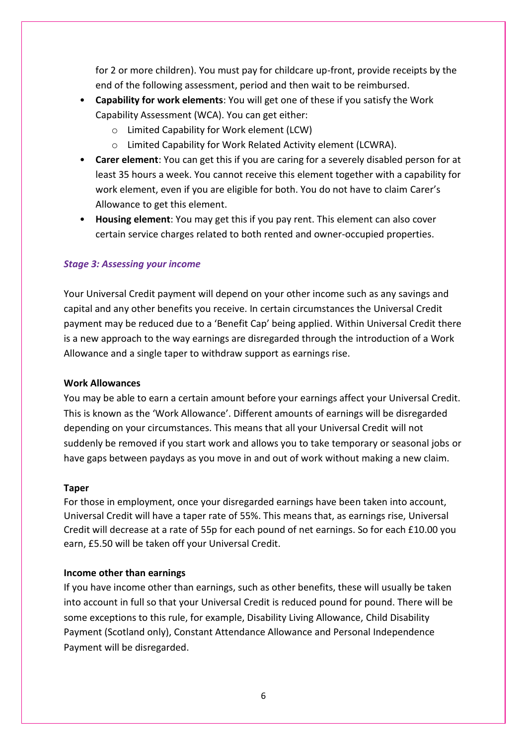for 2 or more children). You must pay for childcare up-front, provide receipts by the end of the following assessment, period and then wait to be reimbursed.

- **Capability for work elements**: You will get one of these if you satisfy the Work Capability Assessment (WCA). You can get either:
	- o Limited Capability for Work element (LCW)
	- o Limited Capability for Work Related Activity element (LCWRA).
- **Carer element**: You can get this if you are caring for a severely disabled person for at least 35 hours a week. You cannot receive this element together with a capability for work element, even if you are eligible for both. You do not have to claim Carer's Allowance to get this element.
- **Housing element**: You may get this if you pay rent. This element can also cover certain service charges related to both rented and owner-occupied properties.

#### *Stage 3: Assessing your income*

Your Universal Credit payment will depend on your other income such as any savings and capital and any other benefits you receive. In certain circumstances the Universal Credit payment may be reduced due to a 'Benefit Cap' being applied. Within Universal Credit there is a new approach to the way earnings are disregarded through the introduction of a Work Allowance and a single taper to withdraw support as earnings rise.

#### **Work Allowances**

You may be able to earn a certain amount before your earnings affect your Universal Credit. This is known as the 'Work Allowance'. Different amounts of earnings will be disregarded depending on your circumstances. This means that all your Universal Credit will not suddenly be removed if you start work and allows you to take temporary or seasonal jobs or have gaps between paydays as you move in and out of work without making a new claim.

#### **Taper**

For those in employment, once your disregarded earnings have been taken into account, Universal Credit will have a taper rate of 55%. This means that, as earnings rise, Universal Credit will decrease at a rate of 55p for each pound of net earnings. So for each £10.00 you earn, £5.50 will be taken off your Universal Credit.

#### **Income other than earnings**

If you have income other than earnings, such as other benefits, these will usually be taken into account in full so that your Universal Credit is reduced pound for pound. There will be some exceptions to this rule, for example, Disability Living Allowance, Child Disability Payment (Scotland only), Constant Attendance Allowance and Personal Independence Payment will be disregarded.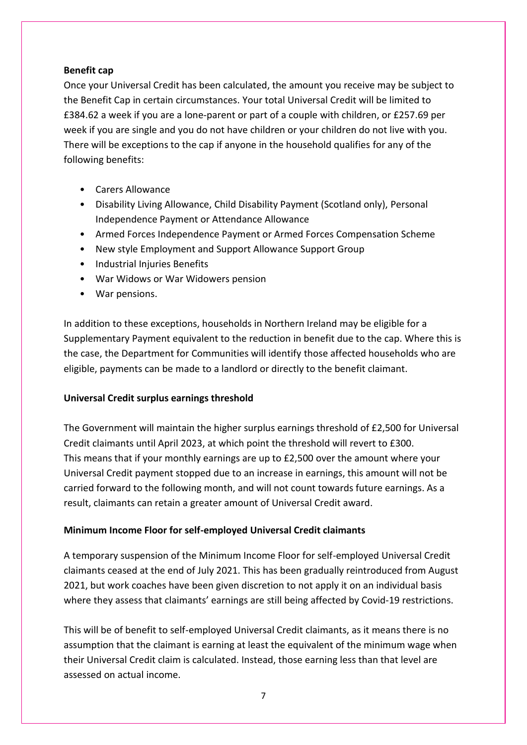## **Benefit cap**

Once your Universal Credit has been calculated, the amount you receive may be subject to the Benefit Cap in certain circumstances. Your total Universal Credit will be limited to £384.62 a week if you are a lone-parent or part of a couple with children, or £257.69 per week if you are single and you do not have children or your children do not live with you. There will be exceptions to the cap if anyone in the household qualifies for any of the following benefits:

- Carers Allowance
- Disability Living Allowance, Child Disability Payment (Scotland only), Personal Independence Payment or Attendance Allowance
- Armed Forces Independence Payment or Armed Forces Compensation Scheme
- New style Employment and Support Allowance Support Group
- Industrial Injuries Benefits
- War Widows or War Widowers pension
- War pensions.

In addition to these exceptions, households in Northern Ireland may be eligible for a Supplementary Payment equivalent to the reduction in benefit due to the cap. Where this is the case, the Department for Communities will identify those affected households who are eligible, payments can be made to a landlord or directly to the benefit claimant.

## **Universal Credit surplus earnings threshold**

The Government will maintain the higher surplus earnings threshold of £2,500 for Universal Credit claimants until April 2023, at which point the threshold will revert to £300. This means that if your monthly earnings are up to £2,500 over the amount where your Universal Credit payment stopped due to an increase in earnings, this amount will not be carried forward to the following month, and will not count towards future earnings. As a result, claimants can retain a greater amount of Universal Credit award.

## **Minimum Income Floor for self-employed Universal Credit claimants**

A temporary suspension of the Minimum Income Floor for self-employed Universal Credit claimants ceased at the end of July 2021. This has been gradually reintroduced from August 2021, but work coaches have been given discretion to not apply it on an individual basis where they assess that claimants' earnings are still being affected by Covid-19 restrictions.

This will be of benefit to self-employed Universal Credit claimants, as it means there is no assumption that the claimant is earning at least the equivalent of the minimum wage when their Universal Credit claim is calculated. Instead, those earning less than that level are assessed on actual income.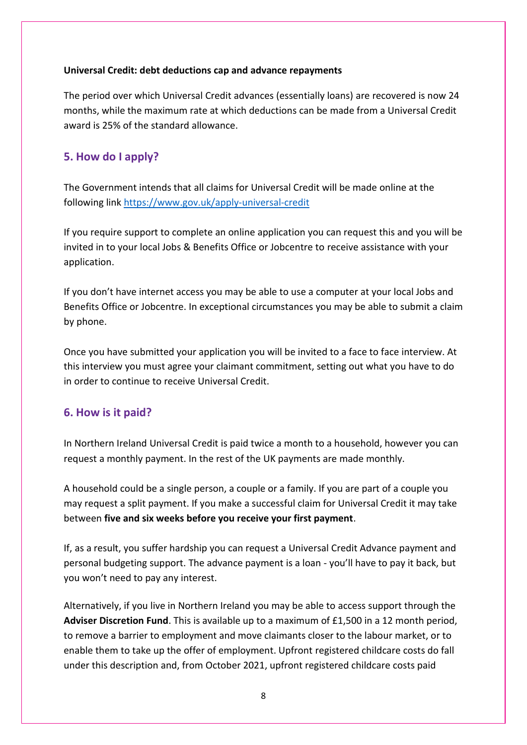## **Universal Credit: debt deductions cap and advance repayments**

The period over which Universal Credit advances (essentially loans) are recovered is now 24 months, while the maximum rate at which deductions can be made from a Universal Credit award is 25% of the standard allowance.

# **5. How do I apply?**

The Government intends that all claims for Universal Credit will be made online at the following link<https://www.gov.uk/apply-universal-credit>

If you require support to complete an online application you can request this and you will be invited in to your local Jobs & Benefits Office or Jobcentre to receive assistance with your application.

If you don't have internet access you may be able to use a computer at your local Jobs and Benefits Office or Jobcentre. In exceptional circumstances you may be able to submit a claim by phone.

Once you have submitted your application you will be invited to a face to face interview. At this interview you must agree your claimant commitment, setting out what you have to do in order to continue to receive Universal Credit.

# **6. How is it paid?**

In Northern Ireland Universal Credit is paid twice a month to a household, however you can request a monthly payment. In the rest of the UK payments are made monthly.

A household could be a single person, a couple or a family. If you are part of a couple you may request a split payment. If you make a successful claim for Universal Credit it may take between **five and six weeks before you receive your first payment**.

If, as a result, you suffer hardship you can request a Universal Credit Advance payment and personal budgeting support. The advance payment is a loan - you'll have to pay it back, but you won't need to pay any interest.

Alternatively, if you live in Northern Ireland you may be able to access support through the **Adviser Discretion Fund**. This is available up to a maximum of £1,500 in a 12 month period, to remove a barrier to employment and move claimants closer to the labour market, or to enable them to take up the offer of employment. Upfront registered childcare costs do fall under this description and, from October 2021, upfront registered childcare costs paid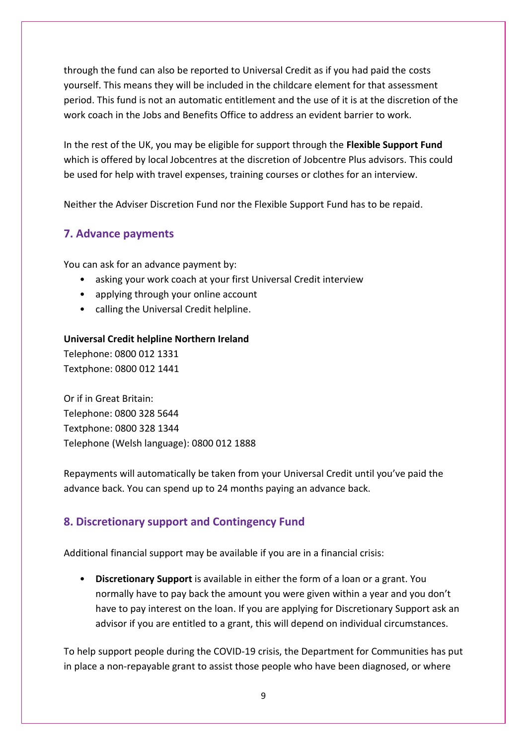through the fund can also be reported to Universal Credit as if you had paid the costs yourself. This means they will be included in the childcare element for that assessment period. This fund is not an automatic entitlement and the use of it is at the discretion of the work coach in the Jobs and Benefits Office to address an evident barrier to work.

In the rest of the UK, you may be eligible for support through the **Flexible Support Fund** which is offered by local Jobcentres at the discretion of Jobcentre Plus advisors. This could be used for help with travel expenses, training courses or clothes for an interview.

Neither the Adviser Discretion Fund nor the Flexible Support Fund has to be repaid.

# **7. Advance payments**

You can ask for an advance payment by:

- asking your work coach at your first Universal Credit interview
- applying through your online account
- calling the Universal Credit helpline.

#### **Universal Credit helpline Northern Ireland**

Telephone: 0800 012 1331 Textphone: 0800 012 1441

Or if in Great Britain: Telephone: 0800 328 5644 Textphone: 0800 328 1344 Telephone (Welsh language): 0800 012 1888

Repayments will automatically be taken from your Universal Credit until you've paid the advance back. You can spend up to 24 months paying an advance back.

# **8. Discretionary support and Contingency Fund**

Additional financial support may be available if you are in a financial crisis:

• **Discretionary Support** is available in either the form of a loan or a grant. You normally have to pay back the amount you were given within a year and you don't have to pay interest on the loan. If you are applying for Discretionary Support ask an advisor if you are entitled to a grant, this will depend on individual circumstances.

To help support people during the COVID-19 crisis, the Department for Communities has put in place a non-repayable grant to assist those people who have been diagnosed, or where